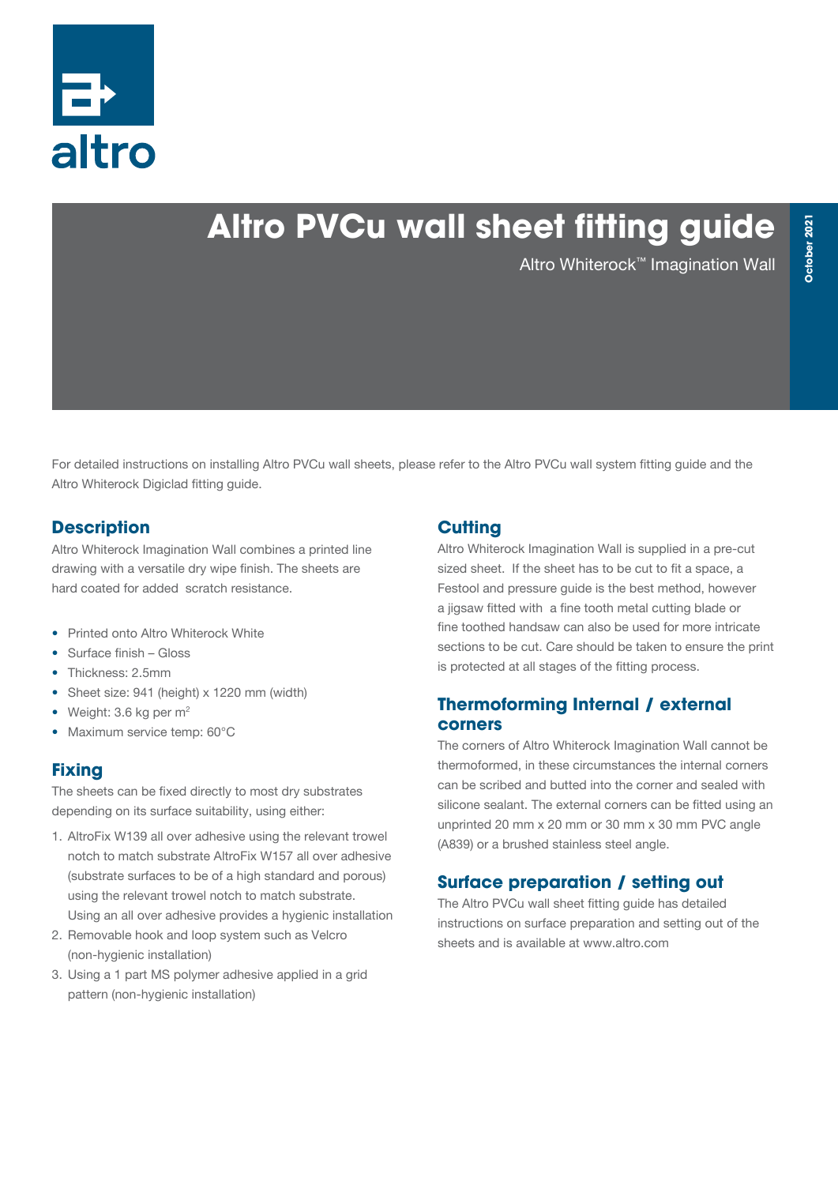

# **Altro PVCu wall sheet fitting guide**

Altro Whiterock™ Imagination Wall

For detailed instructions on installing Altro PVCu wall sheets, please refer to the Altro PVCu wall system fitting guide and the Altro Whiterock Digiclad fitting guide.

#### **Description**

Altro Whiterock Imagination Wall combines a printed line drawing with a versatile dry wipe finish. The sheets are hard coated for added scratch resistance.

- Printed onto Altro Whiterock White
- Surface finish Gloss
- Thickness: 2.5mm
- Sheet size: 941 (height) x 1220 mm (width)
- Weight:  $3.6$  kg per  $m<sup>2</sup>$
- Maximum service temp: 60°C

#### **Fixing**

The sheets can be fixed directly to most dry substrates depending on its surface suitability, using either:

- 1. AltroFix W139 all over adhesive using the relevant trowel notch to match substrate AltroFix W157 all over adhesive (substrate surfaces to be of a high standard and porous) using the relevant trowel notch to match substrate. Using an all over adhesive provides a hygienic installation
- 2. Removable hook and loop system such as Velcro (non-hygienic installation)
- 3. Using a 1 part MS polymer adhesive applied in a grid pattern (non-hygienic installation)

### **Cutting**

Altro Whiterock Imagination Wall is supplied in a pre-cut sized sheet. If the sheet has to be cut to fit a space, a Festool and pressure guide is the best method, however a jigsaw fitted with a fine tooth metal cutting blade or fine toothed handsaw can also be used for more intricate sections to be cut. Care should be taken to ensure the print is protected at all stages of the fitting process.

#### **Thermoforming Internal / external corners**

The corners of Altro Whiterock Imagination Wall cannot be thermoformed, in these circumstances the internal corners can be scribed and butted into the corner and sealed with silicone sealant. The external corners can be fitted using an unprinted 20 mm x 20 mm or 30 mm x 30 mm PVC angle (A839) or a brushed stainless steel angle.

### **Surface preparation / setting out**

The Altro PVCu wall sheet fitting guide has detailed instructions on surface preparation and setting out of the sheets and is available at www.altro.com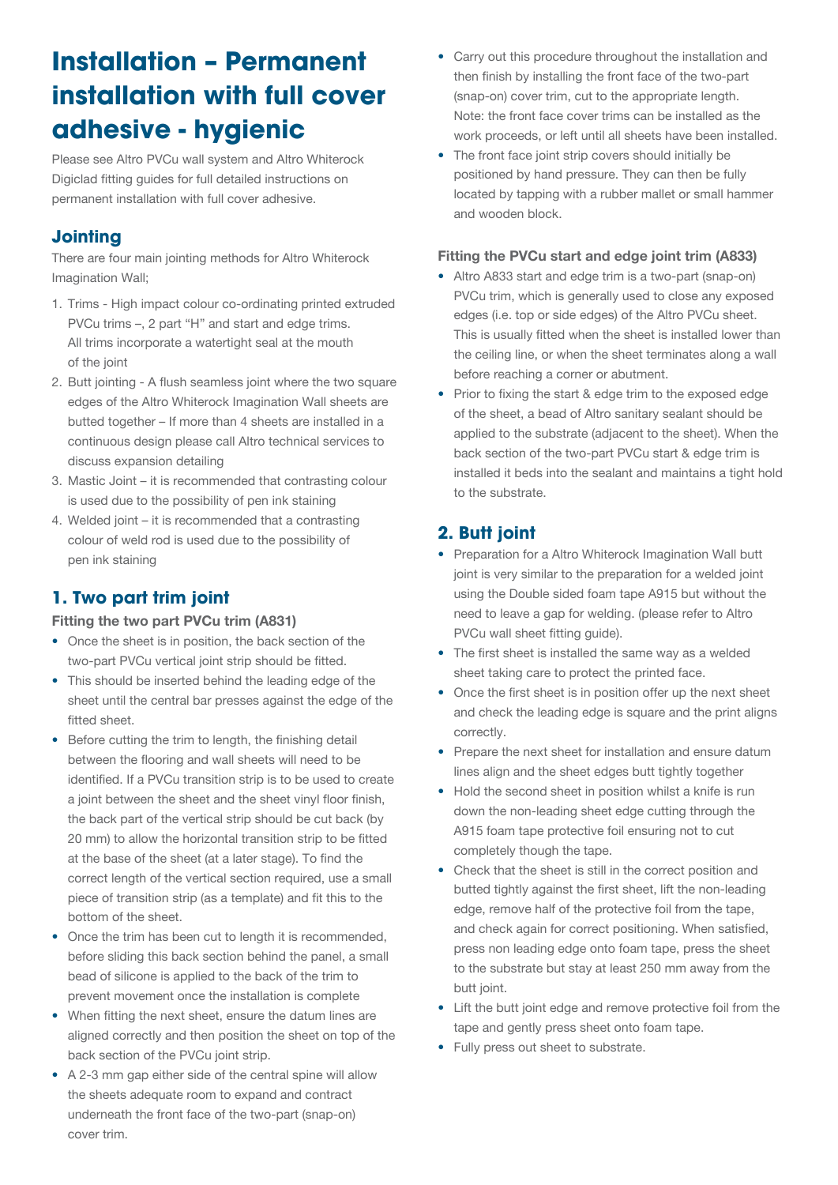## **Installation – Permanent installation with full cover adhesive - hygienic**

Please see Altro PVCu wall system and Altro Whiterock Digiclad fitting guides for full detailed instructions on permanent installation with full cover adhesive.

### **Jointing**

There are four main jointing methods for Altro Whiterock Imagination Wall;

- 1. Trims High impact colour co-ordinating printed extruded PVCu trims –, 2 part "H" and start and edge trims. All trims incorporate a watertight seal at the mouth of the joint
- 2. Butt jointing A flush seamless joint where the two square edges of the Altro Whiterock Imagination Wall sheets are butted together – If more than 4 sheets are installed in a continuous design please call Altro technical services to discuss expansion detailing
- 3. Mastic Joint it is recommended that contrasting colour is used due to the possibility of pen ink staining
- 4. Welded joint it is recommended that a contrasting colour of weld rod is used due to the possibility of pen ink staining

### **1. Two part trim joint**

#### Fitting the two part PVCu trim (A831)

- Once the sheet is in position, the back section of the two-part PVCu vertical joint strip should be fitted.
- This should be inserted behind the leading edge of the sheet until the central bar presses against the edge of the fitted sheet.
- Before cutting the trim to length, the finishing detail between the flooring and wall sheets will need to be identified. If a PVCu transition strip is to be used to create a joint between the sheet and the sheet vinyl floor finish, the back part of the vertical strip should be cut back (by 20 mm) to allow the horizontal transition strip to be fitted at the base of the sheet (at a later stage). To find the correct length of the vertical section required, use a small piece of transition strip (as a template) and fit this to the bottom of the sheet.
- Once the trim has been cut to length it is recommended. before sliding this back section behind the panel, a small bead of silicone is applied to the back of the trim to prevent movement once the installation is complete
- When fitting the next sheet, ensure the datum lines are aligned correctly and then position the sheet on top of the back section of the PVCu joint strip.
- A 2-3 mm gap either side of the central spine will allow the sheets adequate room to expand and contract underneath the front face of the two-part (snap-on) cover trim.
- Carry out this procedure throughout the installation and then finish by installing the front face of the two-part (snap-on) cover trim, cut to the appropriate length. Note: the front face cover trims can be installed as the work proceeds, or left until all sheets have been installed.
- The front face joint strip covers should initially be positioned by hand pressure. They can then be fully located by tapping with a rubber mallet or small hammer and wooden block.

#### Fitting the PVCu start and edge joint trim (A833)

- Altro A833 start and edge trim is a two-part (snap-on) PVCu trim, which is generally used to close any exposed edges (i.e. top or side edges) of the Altro PVCu sheet. This is usually fitted when the sheet is installed lower than the ceiling line, or when the sheet terminates along a wall before reaching a corner or abutment.
- Prior to fixing the start & edge trim to the exposed edge of the sheet, a bead of Altro sanitary sealant should be applied to the substrate (adjacent to the sheet). When the back section of the two-part PVCu start & edge trim is installed it beds into the sealant and maintains a tight hold to the substrate.

## **2. Butt joint**

- Preparation for a Altro Whiterock Imagination Wall butt joint is very similar to the preparation for a welded joint using the Double sided foam tape A915 but without the need to leave a gap for welding. (please refer to Altro PVCu wall sheet fitting guide).
- The first sheet is installed the same way as a welded sheet taking care to protect the printed face.
- Once the first sheet is in position offer up the next sheet and check the leading edge is square and the print aligns correctly.
- Prepare the next sheet for installation and ensure datum lines align and the sheet edges butt tightly together
- Hold the second sheet in position whilst a knife is run down the non-leading sheet edge cutting through the A915 foam tape protective foil ensuring not to cut completely though the tape.
- Check that the sheet is still in the correct position and butted tightly against the first sheet, lift the non-leading edge, remove half of the protective foil from the tape, and check again for correct positioning. When satisfied, press non leading edge onto foam tape, press the sheet to the substrate but stay at least 250 mm away from the butt joint.
- Lift the butt joint edge and remove protective foil from the tape and gently press sheet onto foam tape.
- Fully press out sheet to substrate.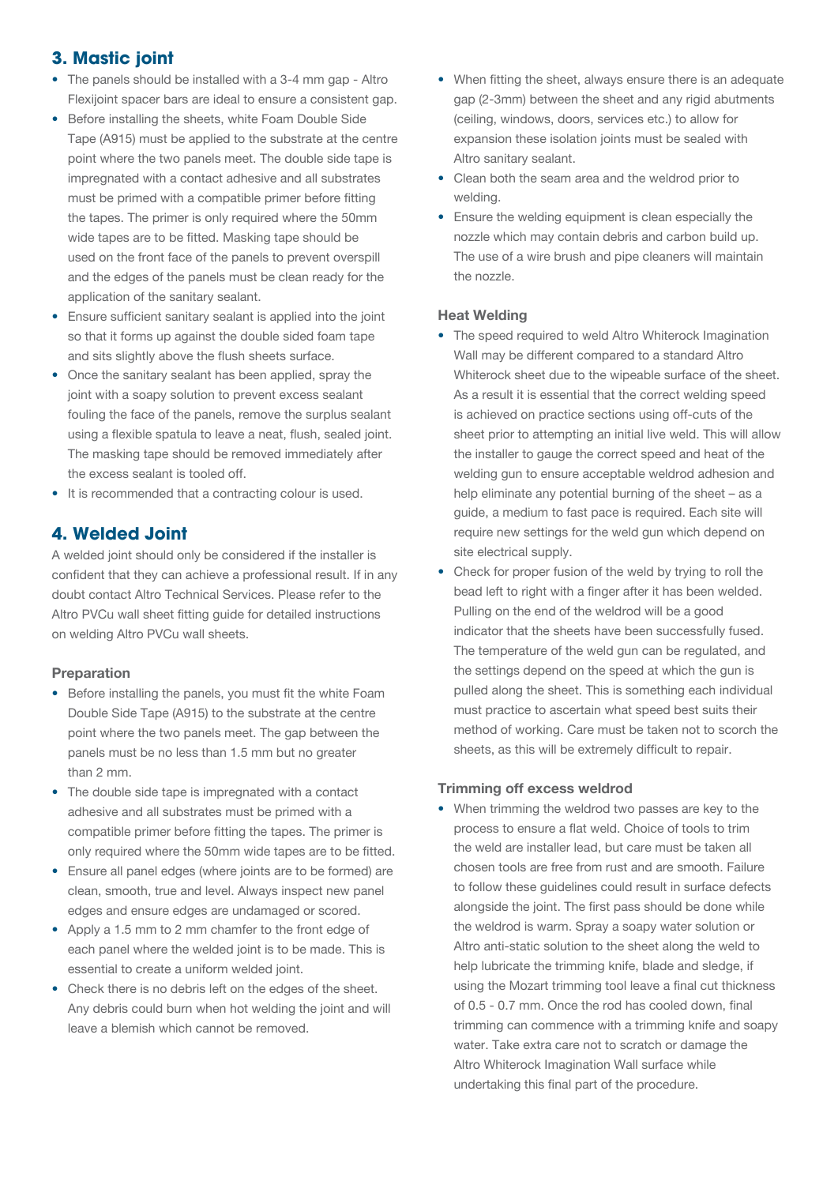#### **3. Mastic joint**

- The panels should be installed with a 3-4 mm gap Altro Flexijoint spacer bars are ideal to ensure a consistent gap.
- Before installing the sheets, white Foam Double Side Tape (A915) must be applied to the substrate at the centre point where the two panels meet. The double side tape is impregnated with a contact adhesive and all substrates must be primed with a compatible primer before fitting the tapes. The primer is only required where the 50mm wide tapes are to be fitted. Masking tape should be used on the front face of the panels to prevent overspill and the edges of the panels must be clean ready for the application of the sanitary sealant.
- Ensure sufficient sanitary sealant is applied into the joint so that it forms up against the double sided foam tape and sits slightly above the flush sheets surface.
- Once the sanitary sealant has been applied, spray the joint with a soapy solution to prevent excess sealant fouling the face of the panels, remove the surplus sealant using a flexible spatula to leave a neat, flush, sealed joint. The masking tape should be removed immediately after the excess sealant is tooled off.
- It is recommended that a contracting colour is used.

#### **4. Welded Joint**

A welded joint should only be considered if the installer is confident that they can achieve a professional result. If in any doubt contact Altro Technical Services. Please refer to the Altro PVCu wall sheet fitting guide for detailed instructions on welding Altro PVCu wall sheets.

#### Preparation

- Before installing the panels, you must fit the white Foam Double Side Tape (A915) to the substrate at the centre point where the two panels meet. The gap between the panels must be no less than 1.5 mm but no greater than 2 mm.
- The double side tape is impregnated with a contact adhesive and all substrates must be primed with a compatible primer before fitting the tapes. The primer is only required where the 50mm wide tapes are to be fitted.
- Ensure all panel edges (where joints are to be formed) are clean, smooth, true and level. Always inspect new panel edges and ensure edges are undamaged or scored.
- Apply a 1.5 mm to 2 mm chamfer to the front edge of each panel where the welded joint is to be made. This is essential to create a uniform welded joint.
- Check there is no debris left on the edges of the sheet. Any debris could burn when hot welding the joint and will leave a blemish which cannot be removed.
- When fitting the sheet, always ensure there is an adequate gap (2-3mm) between the sheet and any rigid abutments (ceiling, windows, doors, services etc.) to allow for expansion these isolation joints must be sealed with Altro sanitary sealant.
- Clean both the seam area and the weldrod prior to welding.
- Ensure the welding equipment is clean especially the nozzle which may contain debris and carbon build up. The use of a wire brush and pipe cleaners will maintain the nozzle.

#### Heat Welding

- The speed required to weld Altro Whiterock Imagination Wall may be different compared to a standard Altro Whiterock sheet due to the wipeable surface of the sheet. As a result it is essential that the correct welding speed is achieved on practice sections using off-cuts of the sheet prior to attempting an initial live weld. This will allow the installer to gauge the correct speed and heat of the welding gun to ensure acceptable weldrod adhesion and help eliminate any potential burning of the sheet – as a guide, a medium to fast pace is required. Each site will require new settings for the weld gun which depend on site electrical supply.
- Check for proper fusion of the weld by trying to roll the bead left to right with a finger after it has been welded. Pulling on the end of the weldrod will be a good indicator that the sheets have been successfully fused. The temperature of the weld gun can be regulated, and the settings depend on the speed at which the gun is pulled along the sheet. This is something each individual must practice to ascertain what speed best suits their method of working. Care must be taken not to scorch the sheets, as this will be extremely difficult to repair.

#### Trimming off excess weldrod

• When trimming the weldrod two passes are key to the process to ensure a flat weld. Choice of tools to trim the weld are installer lead, but care must be taken all chosen tools are free from rust and are smooth. Failure to follow these guidelines could result in surface defects alongside the joint. The first pass should be done while the weldrod is warm. Spray a soapy water solution or Altro anti-static solution to the sheet along the weld to help lubricate the trimming knife, blade and sledge, if using the Mozart trimming tool leave a final cut thickness of 0.5 - 0.7 mm. Once the rod has cooled down, final trimming can commence with a trimming knife and soapy water. Take extra care not to scratch or damage the Altro Whiterock Imagination Wall surface while undertaking this final part of the procedure.